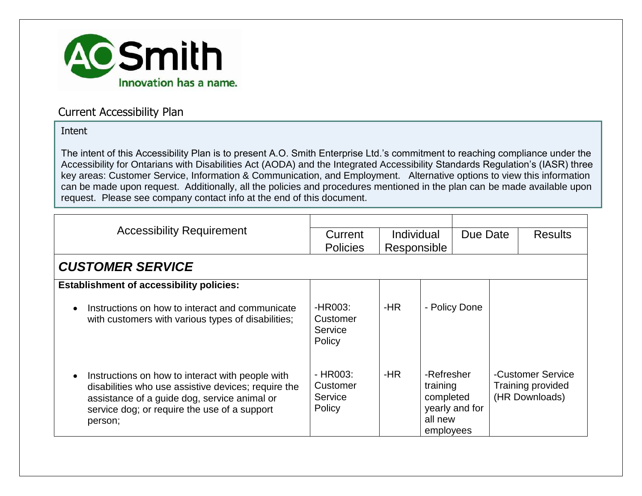

### Current Accessibility Plan

#### Intent

The intent of this Accessibility Plan is to present A.O. Smith Enterprise Ltd.'s commitment to reaching compliance under the Accessibility for Ontarians with Disabilities Act (AODA) and the Integrated Accessibility Standards Regulation's (IASR) three key areas: Customer Service, Information & Communication, and Employment. Alternative options to view this information can be made upon request. Additionally, all the policies and procedures mentioned in the plan can be made available upon request. Please see company contact info at the end of this document.

| <b>Accessibility Requirement</b>                                                                                                                                                                                   | Current<br><b>Policies</b>                | Individual<br>Responsible |                                                                               | Due Date | <b>Results</b>                                                  |
|--------------------------------------------------------------------------------------------------------------------------------------------------------------------------------------------------------------------|-------------------------------------------|---------------------------|-------------------------------------------------------------------------------|----------|-----------------------------------------------------------------|
| <b>CUSTOMER SERVICE</b>                                                                                                                                                                                            |                                           |                           |                                                                               |          |                                                                 |
| <b>Establishment of accessibility policies:</b>                                                                                                                                                                    |                                           |                           |                                                                               |          |                                                                 |
| Instructions on how to interact and communicate<br>with customers with various types of disabilities;                                                                                                              | -HR003:<br>Customer<br>Service<br>Policy  | -HR                       | - Policy Done                                                                 |          |                                                                 |
| Instructions on how to interact with people with<br>disabilities who use assistive devices; require the<br>assistance of a guide dog, service animal or<br>service dog; or require the use of a support<br>person; | - HR003:<br>Customer<br>Service<br>Policy | -HR                       | -Refresher<br>training<br>completed<br>yearly and for<br>all new<br>employees |          | -Customer Service<br><b>Training provided</b><br>(HR Downloads) |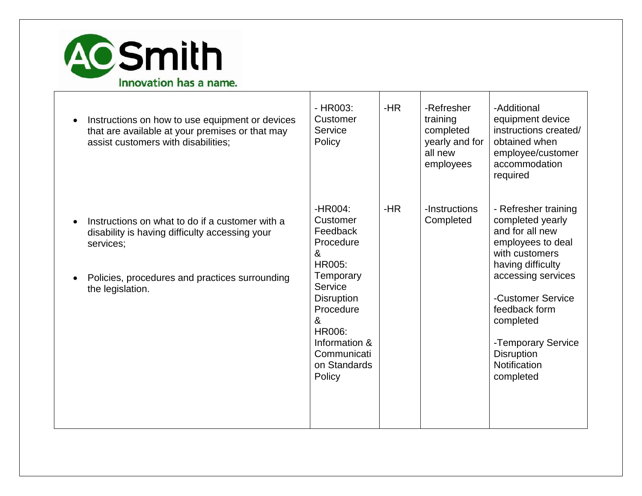

| $\bullet$ | Instructions on how to use equipment or devices<br>that are available at your premises or that may<br>assist customers with disabilities;                                            | $-HR003$ :<br>Customer<br>Service<br>Policy                                                                                                                                                    | $-HR$ | -Refresher<br>training<br>completed<br>yearly and for<br>all new<br>employees | -Additional<br>equipment device<br>instructions created/<br>obtained when<br>employee/customer<br>accommodation<br>required                                                                                                                                              |
|-----------|--------------------------------------------------------------------------------------------------------------------------------------------------------------------------------------|------------------------------------------------------------------------------------------------------------------------------------------------------------------------------------------------|-------|-------------------------------------------------------------------------------|--------------------------------------------------------------------------------------------------------------------------------------------------------------------------------------------------------------------------------------------------------------------------|
|           | Instructions on what to do if a customer with a<br>disability is having difficulty accessing your<br>services;<br>Policies, procedures and practices surrounding<br>the legislation. | -HR004:<br>Customer<br>Feedback<br>Procedure<br>&<br>HR005:<br>Temporary<br>Service<br><b>Disruption</b><br>Procedure<br>&<br>HR006:<br>Information &<br>Communicati<br>on Standards<br>Policy | $-HR$ | -Instructions<br>Completed                                                    | - Refresher training<br>completed yearly<br>and for all new<br>employees to deal<br>with customers<br>having difficulty<br>accessing services<br>-Customer Service<br>feedback form<br>completed<br>-Temporary Service<br><b>Disruption</b><br>Notification<br>completed |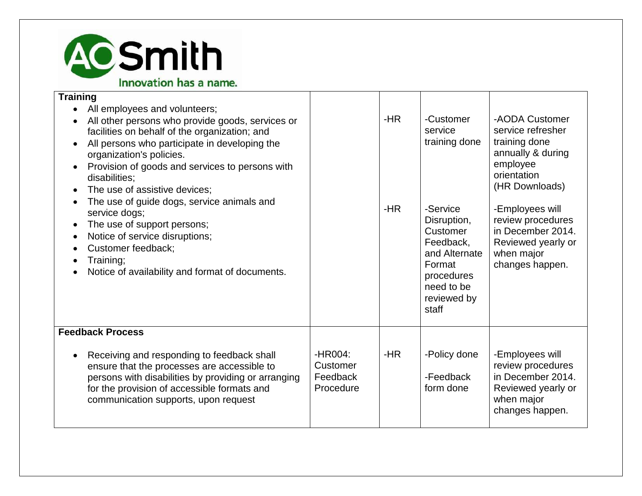

#### **Training**

| All employees and volunteers;<br>All other persons who provide goods, services or<br>facilities on behalf of the organization; and<br>All persons who participate in developing the<br>organization's policies.<br>Provision of goods and services to persons with<br>disabilities;<br>The use of assistive devices;<br>The use of guide dogs, service animals and<br>service dogs;<br>The use of support persons;<br>Notice of service disruptions;<br>Customer feedback;<br>Training;<br>Notice of availability and format of documents. |                                              | $-HR$<br>$-HR$ | -Customer<br>service<br>training done<br>-Service<br>Disruption,<br>Customer<br>Feedback,<br>and Alternate<br>Format<br>procedures<br>need to be<br>reviewed by<br>staff | -AODA Customer<br>service refresher<br>training done<br>annually & during<br>employee<br>orientation<br>(HR Downloads)<br>-Employees will<br>review procedures<br>in December 2014.<br>Reviewed yearly or<br>when major<br>changes happen. |
|--------------------------------------------------------------------------------------------------------------------------------------------------------------------------------------------------------------------------------------------------------------------------------------------------------------------------------------------------------------------------------------------------------------------------------------------------------------------------------------------------------------------------------------------|----------------------------------------------|----------------|--------------------------------------------------------------------------------------------------------------------------------------------------------------------------|--------------------------------------------------------------------------------------------------------------------------------------------------------------------------------------------------------------------------------------------|
| <b>Feedback Process</b>                                                                                                                                                                                                                                                                                                                                                                                                                                                                                                                    |                                              |                |                                                                                                                                                                          |                                                                                                                                                                                                                                            |
| Receiving and responding to feedback shall<br>ensure that the processes are accessible to<br>persons with disabilities by providing or arranging<br>for the provision of accessible formats and<br>communication supports, upon request                                                                                                                                                                                                                                                                                                    | -HR004:<br>Customer<br>Feedback<br>Procedure | -HR            | -Policy done<br>-Feedback<br>form done                                                                                                                                   | -Employees will<br>review procedures<br>in December 2014.<br>Reviewed yearly or<br>when major<br>changes happen.                                                                                                                           |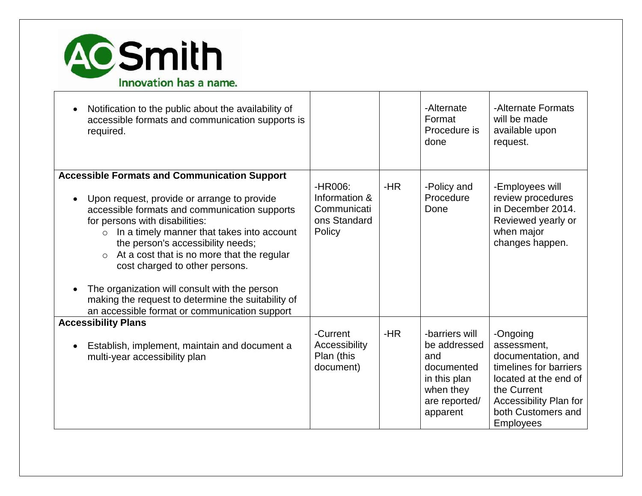

| Notification to the public about the availability of<br>accessible formats and communication supports is<br>required.                                                                                                                                                                                                                                                                                                                                                                                                                  |                                                                   |       | -Alternate<br>Format<br>Procedure is<br>done                                                                  | -Alternate Formats<br>will be made<br>available upon<br>request.                                                                                                                    |
|----------------------------------------------------------------------------------------------------------------------------------------------------------------------------------------------------------------------------------------------------------------------------------------------------------------------------------------------------------------------------------------------------------------------------------------------------------------------------------------------------------------------------------------|-------------------------------------------------------------------|-------|---------------------------------------------------------------------------------------------------------------|-------------------------------------------------------------------------------------------------------------------------------------------------------------------------------------|
| <b>Accessible Formats and Communication Support</b><br>Upon request, provide or arrange to provide<br>accessible formats and communication supports<br>for persons with disabilities:<br>In a timely manner that takes into account<br>$\circ$<br>the person's accessibility needs;<br>At a cost that is no more that the regular<br>$\circ$<br>cost charged to other persons.<br>The organization will consult with the person<br>making the request to determine the suitability of<br>an accessible format or communication support | -HR006:<br>Information &<br>Communicati<br>ons Standard<br>Policy | -HR   | -Policy and<br>Procedure<br>Done                                                                              | -Employees will<br>review procedures<br>in December 2014.<br>Reviewed yearly or<br>when major<br>changes happen.                                                                    |
| <b>Accessibility Plans</b><br>Establish, implement, maintain and document a<br>multi-year accessibility plan                                                                                                                                                                                                                                                                                                                                                                                                                           | -Current<br>Accessibility<br>Plan (this<br>document)              | $-HR$ | -barriers will<br>be addressed<br>and<br>documented<br>in this plan<br>when they<br>are reported/<br>apparent | -Ongoing<br>assessment,<br>documentation, and<br>timelines for barriers<br>located at the end of<br>the Current<br>Accessibility Plan for<br>both Customers and<br><b>Employees</b> |

Τ

┐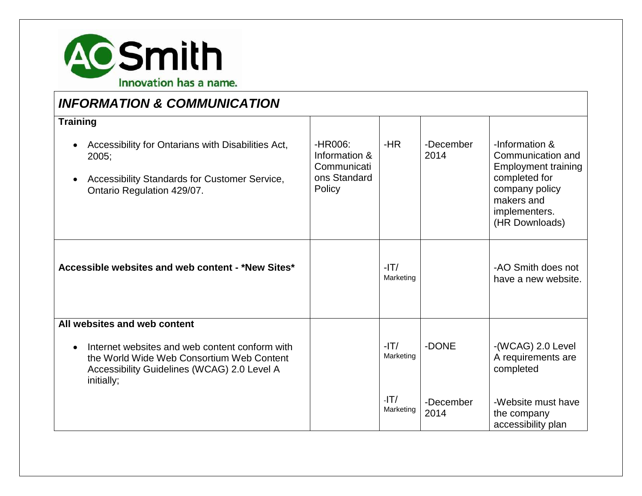

## *INFORMATION & COMMUNICATION*

| <b>Training</b><br>Accessibility for Ontarians with Disabilities Act,<br>$\bullet$<br>$2005$ ;<br>Accessibility Standards for Customer Service,<br>Ontario Regulation 429/07. | $-HR006:$<br>Information &<br>Communicati<br>ons Standard<br>Policy | $-HR$               | -December<br>2014 | -Information &<br>Communication and<br><b>Employment training</b><br>completed for<br>company policy<br>makers and<br>implementers.<br>(HR Downloads) |
|-------------------------------------------------------------------------------------------------------------------------------------------------------------------------------|---------------------------------------------------------------------|---------------------|-------------------|-------------------------------------------------------------------------------------------------------------------------------------------------------|
| Accessible websites and web content - *New Sites*                                                                                                                             |                                                                     | $-IT/$<br>Marketing |                   | -AO Smith does not<br>have a new website.                                                                                                             |
| All websites and web content                                                                                                                                                  |                                                                     |                     |                   |                                                                                                                                                       |
| Internet websites and web content conform with<br>$\bullet$<br>the World Wide Web Consortium Web Content<br>Accessibility Guidelines (WCAG) 2.0 Level A<br>initially;         |                                                                     | $-IT/$<br>Marketing | -DONE             | -(WCAG) 2.0 Level<br>A requirements are<br>completed                                                                                                  |
|                                                                                                                                                                               |                                                                     | $-IT/$<br>Marketing | -December<br>2014 | -Website must have<br>the company<br>accessibility plan                                                                                               |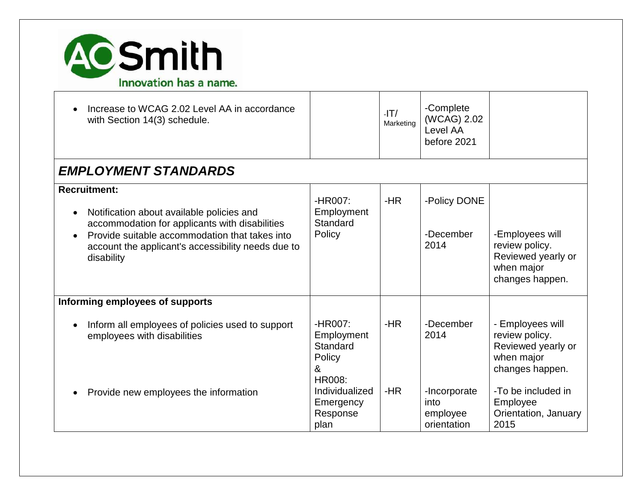

| Increase to WCAG 2.02 Level AA in accordance<br>with Section 14(3) schedule.                                                                                                                                                             |                                                                   | $-IT/$<br>Marketing | -Complete<br>(WCAG) 2.02<br>Level AA<br>before 2021 |                                                                                           |
|------------------------------------------------------------------------------------------------------------------------------------------------------------------------------------------------------------------------------------------|-------------------------------------------------------------------|---------------------|-----------------------------------------------------|-------------------------------------------------------------------------------------------|
| <b>EMPLOYMENT STANDARDS</b>                                                                                                                                                                                                              |                                                                   |                     |                                                     |                                                                                           |
| <b>Recruitment:</b><br>Notification about available policies and<br>accommodation for applicants with disabilities<br>Provide suitable accommodation that takes into<br>account the applicant's accessibility needs due to<br>disability | -HR007:<br>Employment<br>Standard<br>Policy                       | $-HR$               | -Policy DONE<br>-December<br>2014                   | -Employees will<br>review policy.<br>Reviewed yearly or<br>when major<br>changes happen.  |
| Informing employees of supports                                                                                                                                                                                                          |                                                                   |                     |                                                     |                                                                                           |
| Inform all employees of policies used to support<br>employees with disabilities                                                                                                                                                          | -HR007:<br>Employment<br>Standard<br>Policy<br>&<br><b>HR008:</b> | $-HR$               | -December<br>2014                                   | - Employees will<br>review policy.<br>Reviewed yearly or<br>when major<br>changes happen. |
| Provide new employees the information                                                                                                                                                                                                    | Individualized<br>Emergency<br>Response<br>plan                   | $-HR$               | -Incorporate<br>into<br>employee<br>orientation     | -To be included in<br>Employee<br>Orientation, January<br>2015                            |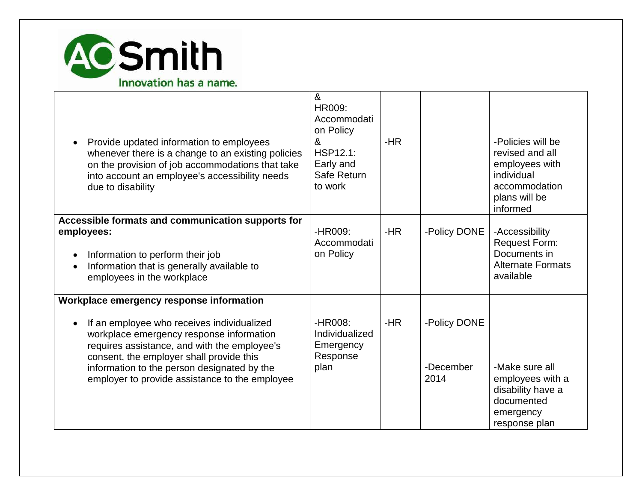

| Provide updated information to employees<br>whenever there is a change to an existing policies<br>on the provision of job accommodations that take<br>into account an employee's accessibility needs<br>due to disability                                                                                                       | $\boldsymbol{\alpha}$<br>HR009:<br>Accommodati<br>on Policy<br>&<br>HSP12.1:<br>Early and<br>Safe Return<br>to work | $-HR$ |                                   | -Policies will be<br>revised and all<br>employees with<br>individual<br>accommodation<br>plans will be<br>informed |
|---------------------------------------------------------------------------------------------------------------------------------------------------------------------------------------------------------------------------------------------------------------------------------------------------------------------------------|---------------------------------------------------------------------------------------------------------------------|-------|-----------------------------------|--------------------------------------------------------------------------------------------------------------------|
| Accessible formats and communication supports for<br>employees:<br>Information to perform their job<br>Information that is generally available to<br>employees in the workplace                                                                                                                                                 | -HR009:<br>Accommodati<br>on Policy                                                                                 | $-HR$ | -Policy DONE                      | -Accessibility<br><b>Request Form:</b><br>Documents in<br><b>Alternate Formats</b><br>available                    |
| Workplace emergency response information<br>If an employee who receives individualized<br>workplace emergency response information<br>requires assistance, and with the employee's<br>consent, the employer shall provide this<br>information to the person designated by the<br>employer to provide assistance to the employee | -HR008:<br>Individualized<br>Emergency<br>Response<br>plan                                                          | $-HR$ | -Policy DONE<br>-December<br>2014 | -Make sure all<br>employees with a<br>disability have a<br>documented<br>emergency<br>response plan                |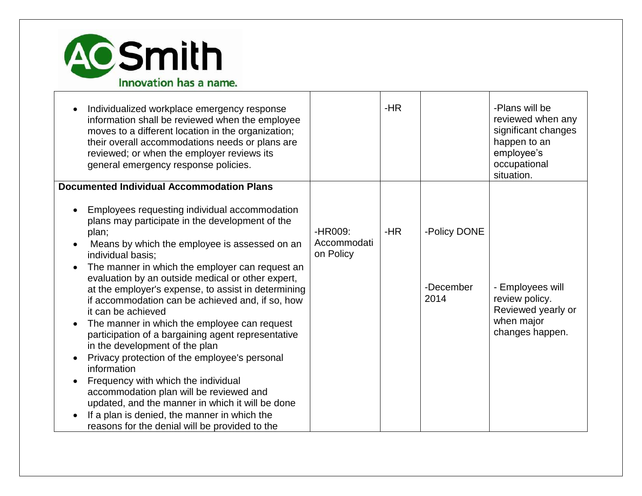

| Individualized workplace emergency response<br>information shall be reviewed when the employee<br>moves to a different location in the organization;<br>their overall accommodations needs or plans are<br>reviewed; or when the employer reviews its<br>general emergency response policies.                                                                                                                                                                                                                                                                                                                                                                                                                                                                                                                                                                            |                                     | $-HR$ |                                   | -Plans will be<br>reviewed when any<br>significant changes<br>happen to an<br>employee's<br>occupational<br>situation. |
|--------------------------------------------------------------------------------------------------------------------------------------------------------------------------------------------------------------------------------------------------------------------------------------------------------------------------------------------------------------------------------------------------------------------------------------------------------------------------------------------------------------------------------------------------------------------------------------------------------------------------------------------------------------------------------------------------------------------------------------------------------------------------------------------------------------------------------------------------------------------------|-------------------------------------|-------|-----------------------------------|------------------------------------------------------------------------------------------------------------------------|
| <b>Documented Individual Accommodation Plans</b>                                                                                                                                                                                                                                                                                                                                                                                                                                                                                                                                                                                                                                                                                                                                                                                                                         |                                     |       |                                   |                                                                                                                        |
| Employees requesting individual accommodation<br>plans may participate in the development of the<br>plan;<br>Means by which the employee is assessed on an<br>individual basis;<br>The manner in which the employer can request an<br>evaluation by an outside medical or other expert,<br>at the employer's expense, to assist in determining<br>if accommodation can be achieved and, if so, how<br>it can be achieved<br>The manner in which the employee can request<br>participation of a bargaining agent representative<br>in the development of the plan<br>Privacy protection of the employee's personal<br>information<br>Frequency with which the individual<br>accommodation plan will be reviewed and<br>updated, and the manner in which it will be done<br>If a plan is denied, the manner in which the<br>reasons for the denial will be provided to the | -HR009:<br>Accommodati<br>on Policy | -HR   | -Policy DONE<br>-December<br>2014 | - Employees will<br>review policy.<br>Reviewed yearly or<br>when major<br>changes happen.                              |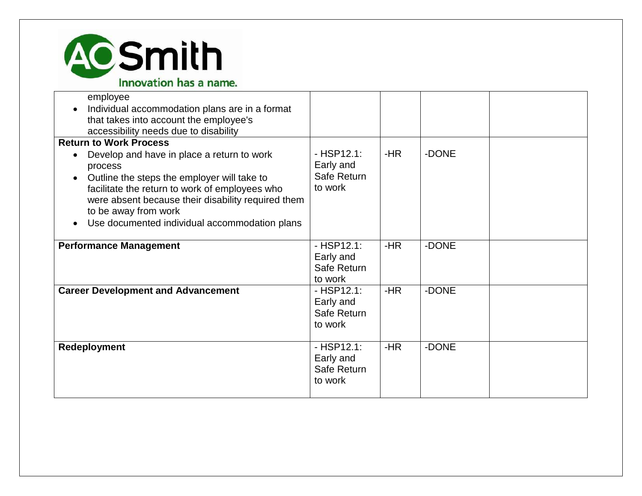

| employee<br>Individual accommodation plans are in a format<br>that takes into account the employee's<br>accessibility needs due to disability                                                                                                                                                      |                                                    |       |       |  |
|----------------------------------------------------------------------------------------------------------------------------------------------------------------------------------------------------------------------------------------------------------------------------------------------------|----------------------------------------------------|-------|-------|--|
| <b>Return to Work Process</b>                                                                                                                                                                                                                                                                      |                                                    |       |       |  |
| Develop and have in place a return to work<br>process<br>Outline the steps the employer will take to<br>$\bullet$<br>facilitate the return to work of employees who<br>were absent because their disability required them<br>to be away from work<br>Use documented individual accommodation plans | $-HSP12.1:$<br>Early and<br>Safe Return<br>to work | -HR   | -DONE |  |
| <b>Performance Management</b>                                                                                                                                                                                                                                                                      | $-HSP12.1:$<br>Early and<br>Safe Return<br>to work | $-HR$ | -DONE |  |
| <b>Career Development and Advancement</b>                                                                                                                                                                                                                                                          | $-HSP12.1:$<br>Early and<br>Safe Return<br>to work | $-HR$ | -DONE |  |
| Redeployment                                                                                                                                                                                                                                                                                       | $-HSP12.1:$<br>Early and<br>Safe Return<br>to work | -HR   | -DONE |  |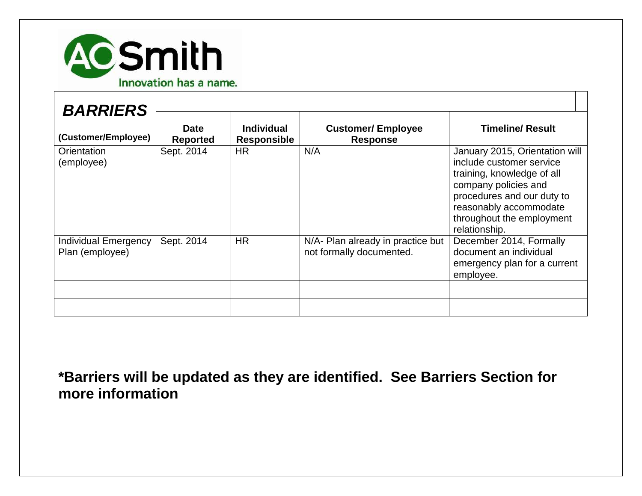

| <b>BARRIERS</b><br>(Customer/Employee)  | <b>Date</b><br><b>Reported</b> | <b>Individual</b><br><b>Responsible</b> | <b>Customer/Employee</b><br><b>Response</b>                   | <b>Timeline/ Result</b>                                                                                                                                                                                                |
|-----------------------------------------|--------------------------------|-----------------------------------------|---------------------------------------------------------------|------------------------------------------------------------------------------------------------------------------------------------------------------------------------------------------------------------------------|
| Orientation<br>(employee)               | Sept. 2014                     | <b>HR</b>                               | N/A                                                           | January 2015, Orientation will<br>include customer service<br>training, knowledge of all<br>company policies and<br>procedures and our duty to<br>reasonably accommodate<br>throughout the employment<br>relationship. |
| Individual Emergency<br>Plan (employee) | Sept. 2014                     | <b>HR</b>                               | N/A- Plan already in practice but<br>not formally documented. | December 2014, Formally<br>document an individual<br>emergency plan for a current<br>employee.                                                                                                                         |
|                                         |                                |                                         |                                                               |                                                                                                                                                                                                                        |

**\*Barriers will be updated as they are identified. See Barriers Section for more information**